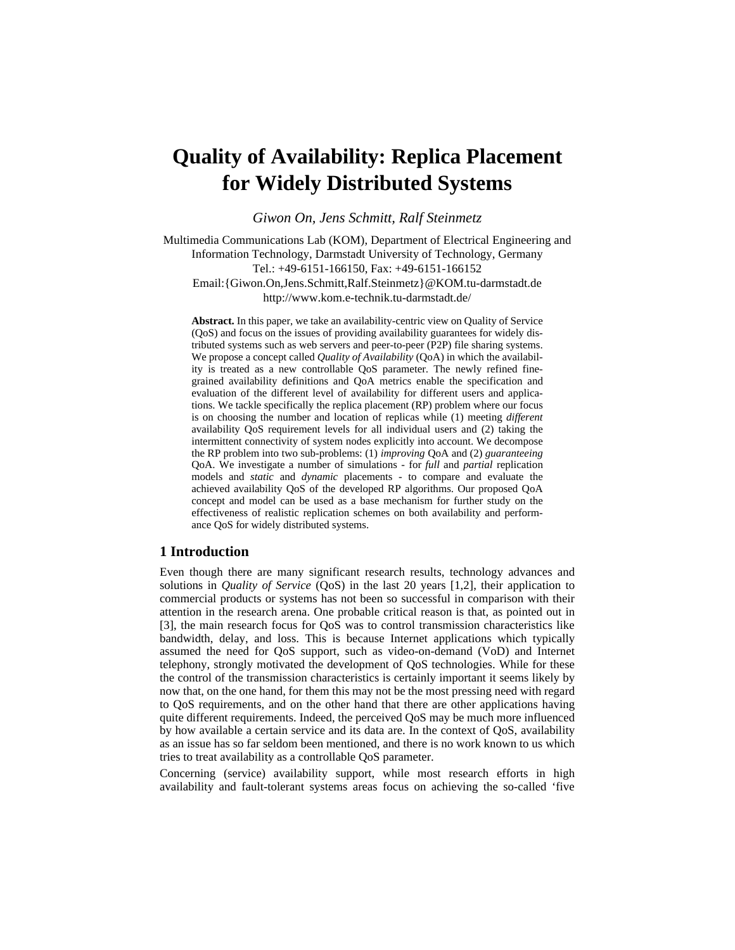# **Quality of Availability: Replica Placement for Widely Distributed Systems**

*Giwon On, Jens Schmitt, Ralf Steinmetz*

Multimedia Communications Lab (KOM), Department of Electrical Engineering and Information Technology, Darmstadt University of Technology, Germany Tel.: +49-6151-166150, Fax: +49-6151-166152 Email:{Giwon.On,Jens.Schmitt,Ralf.Steinmetz}@KOM.tu-darmstadt.de http://www.kom.e-technik.tu-darmstadt.de/

**Abstract.** In this paper, we take an availability-centric view on Quality of Service (QoS) and focus on the issues of providing availability guarantees for widely distributed systems such as web servers and peer-to-peer (P2P) file sharing systems. We propose a concept called *Quality of Availability* (QoA) in which the availability is treated as a new controllable QoS parameter. The newly refined finegrained availability definitions and QoA metrics enable the specification and evaluation of the different level of availability for different users and applications. We tackle specifically the replica placement (RP) problem where our focus is on choosing the number and location of replicas while (1) meeting *different* availability QoS requirement levels for all individual users and (2) taking the intermittent connectivity of system nodes explicitly into account. We decompose the RP problem into two sub-problems: (1) *improving* QoA and (2) *guaranteeing* QoA. We investigate a number of simulations - for *full* and *partial* replication models and *static* and *dynamic* placements - to compare and evaluate the achieved availability QoS of the developed RP algorithms. Our proposed QoA concept and model can be used as a base mechanism for further study on the effectiveness of realistic replication schemes on both availability and performance QoS for widely distributed systems.

# **1 Introduction**

Even though there are many significant research results, technology advances and solutions in *Quality of Service* (QoS) in the last 20 years [1,2], their application to commercial products or systems has not been so successful in comparison with their attention in the research arena. One probable critical reason is that, as pointed out in [3], the main research focus for QoS was to control transmission characteristics like bandwidth, delay, and loss. This is because Internet applications which typically assumed the need for QoS support, such as video-on-demand (VoD) and Internet telephony, strongly motivated the development of QoS technologies. While for these the control of the transmission characteristics is certainly important it seems likely by now that, on the one hand, for them this may not be the most pressing need with regard to QoS requirements, and on the other hand that there are other applications having quite different requirements. Indeed, the perceived QoS may be much more influenced by how available a certain service and its data are. In the context of QoS, availability as an issue has so far seldom been mentioned, and there is no work known to us which tries to treat availability as a controllable QoS parameter.

Concerning (service) availability support, while most research efforts in high availability and fault-tolerant systems areas focus on achieving the so-called 'five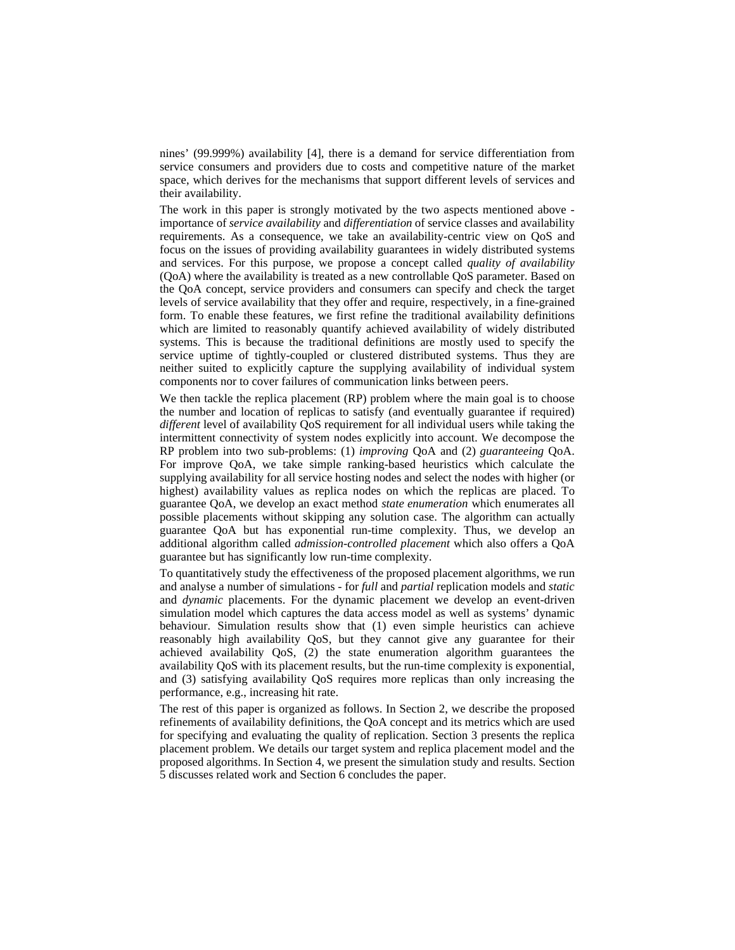nines' (99.999%) availability [4], there is a demand for service differentiation from service consumers and providers due to costs and competitive nature of the market space, which derives for the mechanisms that support different levels of services and their availability.

The work in this paper is strongly motivated by the two aspects mentioned above importance of *service availability* and *differentiation* of service classes and availability requirements. As a consequence, we take an availability-centric view on QoS and focus on the issues of providing availability guarantees in widely distributed systems and services. For this purpose, we propose a concept called *quality of availability* (QoA) where the availability is treated as a new controllable QoS parameter. Based on the QoA concept, service providers and consumers can specify and check the target levels of service availability that they offer and require, respectively, in a fine-grained form. To enable these features, we first refine the traditional availability definitions which are limited to reasonably quantify achieved availability of widely distributed systems. This is because the traditional definitions are mostly used to specify the service uptime of tightly-coupled or clustered distributed systems. Thus they are neither suited to explicitly capture the supplying availability of individual system components nor to cover failures of communication links between peers.

We then tackle the replica placement (RP) problem where the main goal is to choose the number and location of replicas to satisfy (and eventually guarantee if required) *different* level of availability QoS requirement for all individual users while taking the intermittent connectivity of system nodes explicitly into account. We decompose the RP problem into two sub-problems: (1) *improving* QoA and (2) *guaranteeing* QoA. For improve QoA, we take simple ranking-based heuristics which calculate the supplying availability for all service hosting nodes and select the nodes with higher (or highest) availability values as replica nodes on which the replicas are placed. To guarantee QoA, we develop an exact method *state enumeration* which enumerates all possible placements without skipping any solution case. The algorithm can actually guarantee QoA but has exponential run-time complexity. Thus, we develop an additional algorithm called *admission-controlled placement* which also offers a QoA guarantee but has significantly low run-time complexity.

To quantitatively study the effectiveness of the proposed placement algorithms, we run and analyse a number of simulations - for *full* and *partial* replication models and *static* and *dynamic* placements. For the dynamic placement we develop an event-driven simulation model which captures the data access model as well as systems' dynamic behaviour. Simulation results show that (1) even simple heuristics can achieve reasonably high availability QoS, but they cannot give any guarantee for their achieved availability QoS, (2) the state enumeration algorithm guarantees the availability QoS with its placement results, but the run-time complexity is exponential, and (3) satisfying availability QoS requires more replicas than only increasing the performance, e.g., increasing hit rate.

The rest of this paper is organized as follows. In Section 2, we describe the proposed refinements of availability definitions, the QoA concept and its metrics which are used for specifying and evaluating the quality of replication. Section 3 presents the replica placement problem. We details our target system and replica placement model and the proposed algorithms. In Section 4, we present the simulation study and results. Section 5 discusses related work and Section 6 concludes the paper.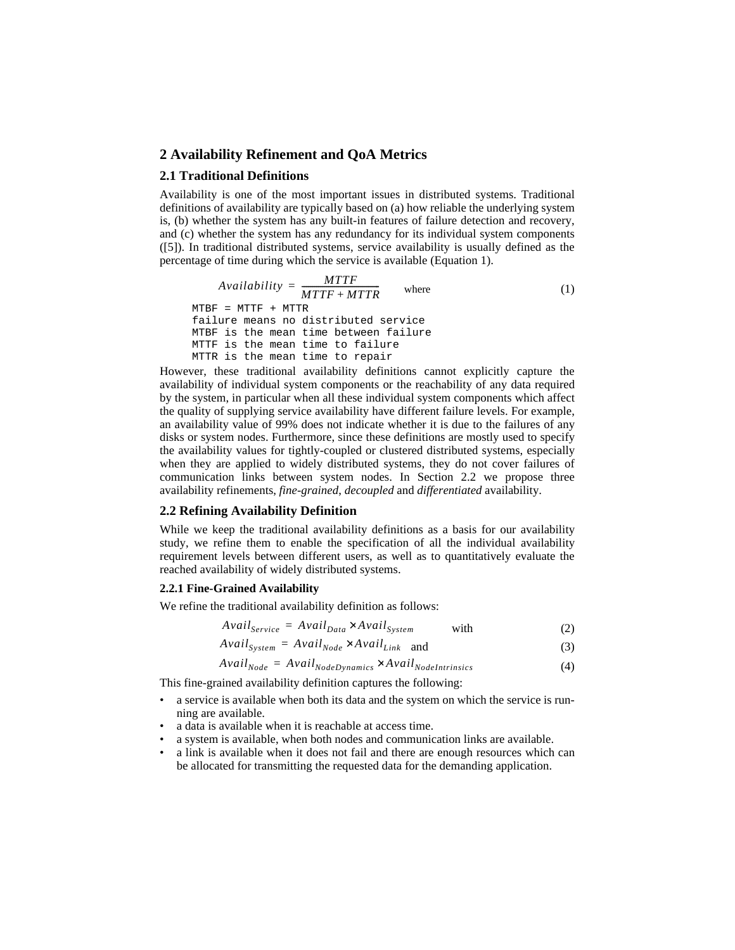# **2 Availability Refinement and QoA Metrics**

## **2.1 Traditional Definitions**

Availability is one of the most important issues in distributed systems. Traditional definitions of availability are typically based on (a) how reliable the underlying system is, (b) whether the system has any built-in features of failure detection and recovery, and (c) whether the system has any redundancy for its individual system components ([5]). In traditional distributed systems, service availability is usually defined as the percentage of time during which the service is available (Equation 1).

\n
$$
Availableility = \frac{MTTF}{MTTF + MTTR}
$$
\n where\n

\n\n
$$
MTBF = MTTF + MTTR
$$
\n failure means no distributed service\n MTBF is the mean time between failure\n MTTF is the mean time to failure\n MTTR is the mean time to repair\n

However, these traditional availability definitions cannot explicitly capture the availability of individual system components or the reachability of any data required by the system, in particular when all these individual system components which affect the quality of supplying service availability have different failure levels. For example, an availability value of 99% does not indicate whether it is due to the failures of any disks or system nodes. Furthermore, since these definitions are mostly used to specify the availability values for tightly-coupled or clustered distributed systems, especially when they are applied to widely distributed systems, they do not cover failures of communication links between system nodes. In Section 2.2 we propose three availability refinements, *fine-grained*, *decoupled* and *differentiated* availability.

## **2.2 Refining Availability Definition**

While we keep the traditional availability definitions as a basis for our availability study, we refine them to enable the specification of all the individual availability requirement levels between different users, as well as to quantitatively evaluate the reached availability of widely distributed systems.

#### **2.2.1 Fine-Grained Availability**

We refine the traditional availability definition as follows:

$$
Avail_{Service} = Avail_{Data} \times Avail_{System} \qquad \text{with}
$$
\n
$$
Avail_{Datal} \times Avail_{System} \qquad \text{with}
$$
\n
$$
(2)
$$

$$
Avail_{System} = Avail_{Node} \times Avail_{Link} \text{ and } (3)
$$

$$
Avail_{Node} = \text{Avail}_{Node Dynamics} \times \text{Avail}_{NodeIntrinsics}
$$
 (4)

This fine-grained availability definition captures the following:

- a service is available when both its data and the system on which the service is running are available.
- a data is available when it is reachable at access time.
- a system is available, when both nodes and communication links are available.
- a link is available when it does not fail and there are enough resources which can be allocated for transmitting the requested data for the demanding application.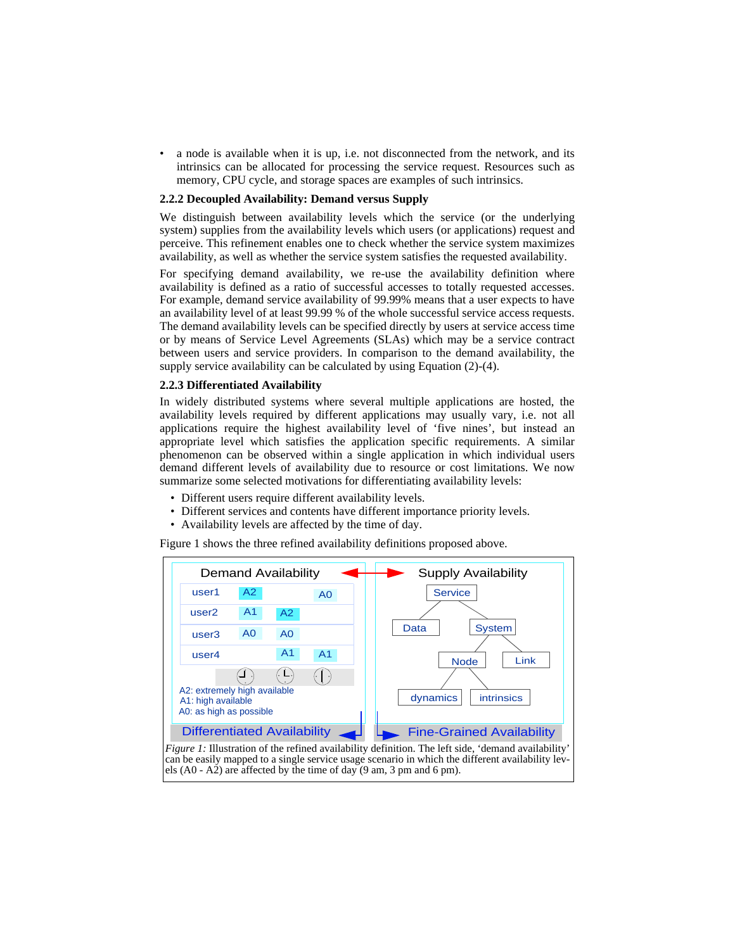• a node is available when it is up, i.e. not disconnected from the network, and its intrinsics can be allocated for processing the service request. Resources such as memory, CPU cycle, and storage spaces are examples of such intrinsics.

## **2.2.2 Decoupled Availability: Demand versus Supply**

We distinguish between availability levels which the service (or the underlying system) supplies from the availability levels which users (or applications) request and perceive. This refinement enables one to check whether the service system maximizes availability, as well as whether the service system satisfies the requested availability.

For specifying demand availability, we re-use the availability definition where availability is defined as a ratio of successful accesses to totally requested accesses. For example, demand service availability of 99.99% means that a user expects to have an availability level of at least 99.99 % of the whole successful service access requests. The demand availability levels can be specified directly by users at service access time or by means of Service Level Agreements (SLAs) which may be a service contract between users and service providers. In comparison to the demand availability, the supply service availability can be calculated by using Equation (2)-(4).

#### **2.2.3 Differentiated Availability**

In widely distributed systems where several multiple applications are hosted, the availability levels required by different applications may usually vary, i.e. not all applications require the highest availability level of 'five nines', but instead an appropriate level which satisfies the application specific requirements. A similar phenomenon can be observed within a single application in which individual users demand different levels of availability due to resource or cost limitations. We now summarize some selected motivations for differentiating availability levels:

- Different users require different availability levels.
- Different services and contents have different importance priority levels.
- Availability levels are affected by the time of day.

Figure 1 shows the three refined availability definitions proposed above.



els  $(A0 - A2)$  are affected by the time of day  $(9 \text{ am}, 3 \text{ pm} \text{ and } 6 \text{ pm})$ .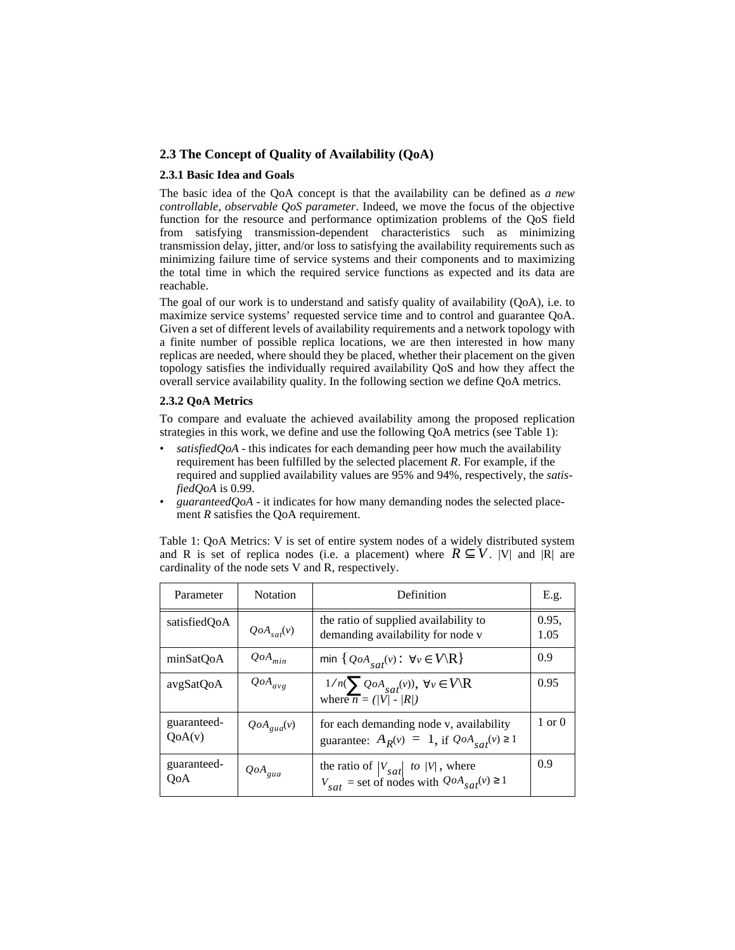# **2.3 The Concept of Quality of Availability (QoA)**

#### **2.3.1 Basic Idea and Goals**

The basic idea of the QoA concept is that the availability can be defined as *a new controllable, observable QoS parameter*. Indeed, we move the focus of the objective function for the resource and performance optimization problems of the QoS field from satisfying transmission-dependent characteristics such as minimizing transmission delay, jitter, and/or loss to satisfying the availability requirements such as minimizing failure time of service systems and their components and to maximizing the total time in which the required service functions as expected and its data are reachable.

The goal of our work is to understand and satisfy quality of availability (QoA), i.e. to maximize service systems' requested service time and to control and guarantee QoA. Given a set of different levels of availability requirements and a network topology with a finite number of possible replica locations, we are then interested in how many replicas are needed, where should they be placed, whether their placement on the given topology satisfies the individually required availability QoS and how they affect the overall service availability quality. In the following section we define QoA metrics.

#### **2.3.2 QoA Metrics**

To compare and evaluate the achieved availability among the proposed replication strategies in this work, we define and use the following QoA metrics (see Table 1):

- *satisfiedQoA* this indicates for each demanding peer how much the availability requirement has been fulfilled by the selected placement *R*. For example, if the required and supplied availability values are 95% and 94%, respectively, the *satisfiedQoA* is 0.99.
- *guaranteedQoA* it indicates for how many demanding nodes the selected placement *R* satisfies the QoA requirement.

Table 1: QoA Metrics: V is set of entire system nodes of a widely distributed system and R is set of replica nodes (i.e. a placement) where  $R \subseteq V$ . |V| and  $|R|$  are cardinality of the node sets V and R, respectively.

| Parameter             | <b>Notation</b>          | Definition                                                                                                  | E.g.              |
|-----------------------|--------------------------|-------------------------------------------------------------------------------------------------------------|-------------------|
| satisfiedOoA          | $QoA_{sat}(v)$           | the ratio of supplied availability to<br>demanding availability for node v                                  | 0.95,<br>1.05     |
| minSatQoA             | $QoA_{min}$              | min $\{ \mathcal{Q}oA_{sat}(v): \forall v \in V \setminus \mathbb{R} \}$                                    | 0.9               |
| avgSatQoA             | $QoA_{avg}$              | $1/n(\sum Q \circ A_{sat}(v)), \forall v \in V \setminus R$<br>where $\overline{n} = ( V  -  R )$           | 0.95              |
| guaranteed-<br>OoA(v) | $QoA_{\textit{quad}}(v)$ | for each demanding node v, availability<br>guarantee: $A_{R}(v) = 1$ , if $Q \circ A_{\text{sat}}(v) \ge 1$ | $1 \text{ or } 0$ |
| guaranteed-<br>OoA    | $QoA_{gua}$              | the ratio of $ V_{sat} $ to $ V $ , where<br>$V_{sat}$ = set of nodes with $QoA_{sat}(v) \ge 1$             | 0.9               |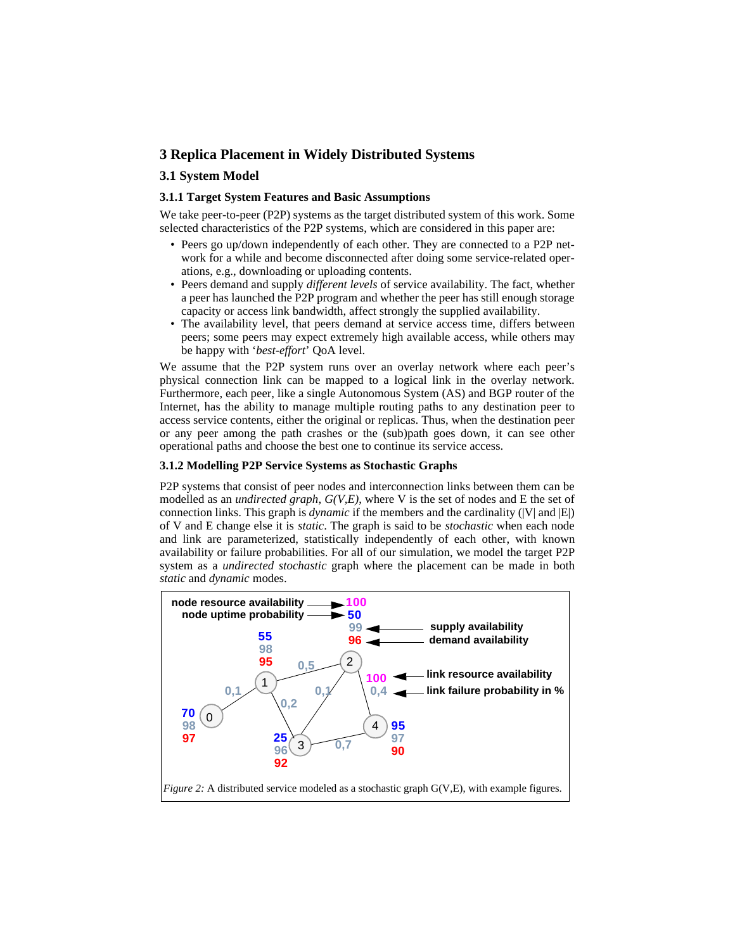# **3 Replica Placement in Widely Distributed Systems**

#### **3.1 System Model**

# **3.1.1 Target System Features and Basic Assumptions**

We take peer-to-peer (P2P) systems as the target distributed system of this work. Some selected characteristics of the P2P systems, which are considered in this paper are:

- Peers go up/down independently of each other. They are connected to a P2P network for a while and become disconnected after doing some service-related operations, e.g., downloading or uploading contents.
- Peers demand and supply *different levels* of service availability. The fact, whether a peer has launched the P2P program and whether the peer has still enough storage capacity or access link bandwidth, affect strongly the supplied availability.
- The availability level, that peers demand at service access time, differs between peers; some peers may expect extremely high available access, while others may be happy with '*best-effort*' QoA level.

We assume that the P2P system runs over an overlay network where each peer's physical connection link can be mapped to a logical link in the overlay network. Furthermore, each peer, like a single Autonomous System (AS) and BGP router of the Internet, has the ability to manage multiple routing paths to any destination peer to access service contents, either the original or replicas. Thus, when the destination peer or any peer among the path crashes or the (sub)path goes down, it can see other operational paths and choose the best one to continue its service access.

#### **3.1.2 Modelling P2P Service Systems as Stochastic Graphs**

P2P systems that consist of peer nodes and interconnection links between them can be modelled as an *undirected graph*, *G(V,E)*, where V is the set of nodes and E the set of connection links. This graph is *dynamic* if the members and the cardinality (|V| and |E|) of V and E change else it is *static*. The graph is said to be *stochastic* when each node and link are parameterized, statistically independently of each other, with known availability or failure probabilities. For all of our simulation, we model the target P2P system as a *undirected stochastic* graph where the placement can be made in both *static* and *dynamic* modes.

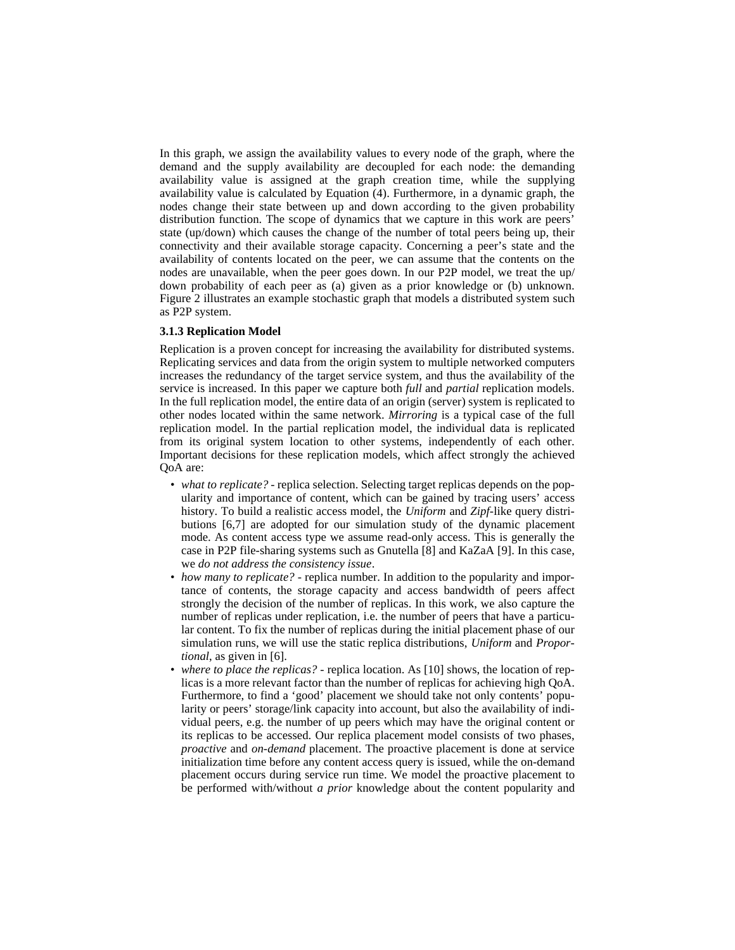In this graph, we assign the availability values to every node of the graph, where the demand and the supply availability are decoupled for each node: the demanding availability value is assigned at the graph creation time, while the supplying availability value is calculated by Equation (4). Furthermore, in a dynamic graph, the nodes change their state between up and down according to the given probability distribution function. The scope of dynamics that we capture in this work are peers' state (up/down) which causes the change of the number of total peers being up, their connectivity and their available storage capacity. Concerning a peer's state and the availability of contents located on the peer, we can assume that the contents on the nodes are unavailable, when the peer goes down. In our P2P model, we treat the up/ down probability of each peer as (a) given as a prior knowledge or (b) unknown. Figure 2 illustrates an example stochastic graph that models a distributed system such as P2P system.

#### **3.1.3 Replication Model**

Replication is a proven concept for increasing the availability for distributed systems. Replicating services and data from the origin system to multiple networked computers increases the redundancy of the target service system, and thus the availability of the service is increased. In this paper we capture both *full* and *partial* replication models. In the full replication model, the entire data of an origin (server) system is replicated to other nodes located within the same network. *Mirroring* is a typical case of the full replication model. In the partial replication model, the individual data is replicated from its original system location to other systems, independently of each other. Important decisions for these replication models, which affect strongly the achieved QoA are:

- *what to replicate?*  replica selection. Selecting target replicas depends on the popularity and importance of content, which can be gained by tracing users' access history. To build a realistic access model, the *Uniform* and *Zipf*-like query distributions [6,7] are adopted for our simulation study of the dynamic placement mode. As content access type we assume read-only access. This is generally the case in P2P file-sharing systems such as Gnutella [8] and KaZaA [9]. In this case, we *do not address the consistency issue*.
- *how many to replicate?*  replica number. In addition to the popularity and importance of contents, the storage capacity and access bandwidth of peers affect strongly the decision of the number of replicas. In this work, we also capture the number of replicas under replication, i.e. the number of peers that have a particular content. To fix the number of replicas during the initial placement phase of our simulation runs, we will use the static replica distributions, *Uniform* and *Proportional*, as given in [6].
- where to place the replicas? replica location. As [10] shows, the location of replicas is a more relevant factor than the number of replicas for achieving high QoA. Furthermore, to find a 'good' placement we should take not only contents' popularity or peers' storage/link capacity into account, but also the availability of individual peers, e.g. the number of up peers which may have the original content or its replicas to be accessed. Our replica placement model consists of two phases, *proactive* and *on-demand* placement. The proactive placement is done at service initialization time before any content access query is issued, while the on-demand placement occurs during service run time. We model the proactive placement to be performed with/without *a prior* knowledge about the content popularity and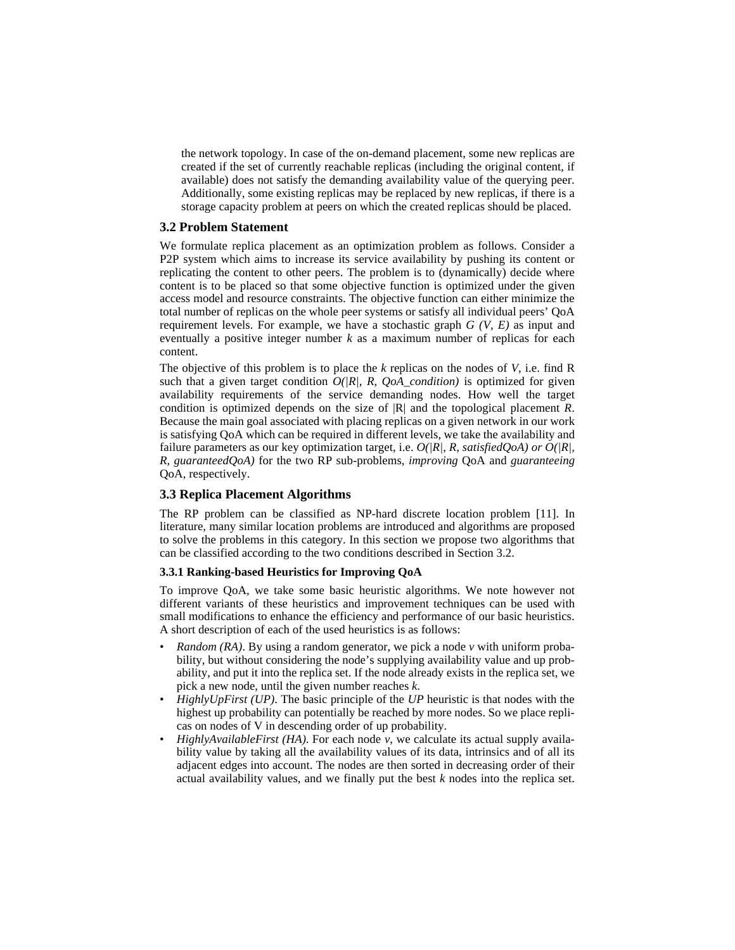the network topology. In case of the on-demand placement, some new replicas are created if the set of currently reachable replicas (including the original content, if available) does not satisfy the demanding availability value of the querying peer. Additionally, some existing replicas may be replaced by new replicas, if there is a storage capacity problem at peers on which the created replicas should be placed.

#### **3.2 Problem Statement**

We formulate replica placement as an optimization problem as follows. Consider a P2P system which aims to increase its service availability by pushing its content or replicating the content to other peers. The problem is to (dynamically) decide where content is to be placed so that some objective function is optimized under the given access model and resource constraints. The objective function can either minimize the total number of replicas on the whole peer systems or satisfy all individual peers' QoA requirement levels. For example, we have a stochastic graph *G (V, E)* as input and eventually a positive integer number *k* as a maximum number of replicas for each content.

The objective of this problem is to place the *k* replicas on the nodes of *V*, i.e. find R such that a given target condition  $O(|R|, R, Q_0A_1\text{-}condition)$  is optimized for given availability requirements of the service demanding nodes. How well the target condition is optimized depends on the size of |R| and the topological placement *R*. Because the main goal associated with placing replicas on a given network in our work is satisfying QoA which can be required in different levels, we take the availability and failure parameters as our key optimization target, i.e. *O(|R|, R, satisfiedQoA) or O(|R|, R, guaranteedQoA)* for the two RP sub-problems, *improving* QoA and *guaranteeing* QoA, respectively.

## **3.3 Replica Placement Algorithms**

The RP problem can be classified as NP-hard discrete location problem [11]. In literature, many similar location problems are introduced and algorithms are proposed to solve the problems in this category. In this section we propose two algorithms that can be classified according to the two conditions described in Section 3.2.

#### **3.3.1 Ranking-based Heuristics for Improving QoA**

To improve QoA, we take some basic heuristic algorithms. We note however not different variants of these heuristics and improvement techniques can be used with small modifications to enhance the efficiency and performance of our basic heuristics. A short description of each of the used heuristics is as follows:

- *Random (RA)*. By using a random generator, we pick a node *v* with uniform probability, but without considering the node's supplying availability value and up probability, and put it into the replica set. If the node already exists in the replica set, we pick a new node, until the given number reaches *k*.
- *HighlyUpFirst (UP)*. The basic principle of the *UP* heuristic is that nodes with the highest up probability can potentially be reached by more nodes. So we place replicas on nodes of V in descending order of up probability.
- *HighlyAvailableFirst (HA)*. For each node *v*, we calculate its actual supply availability value by taking all the availability values of its data, intrinsics and of all its adjacent edges into account. The nodes are then sorted in decreasing order of their actual availability values, and we finally put the best *k* nodes into the replica set.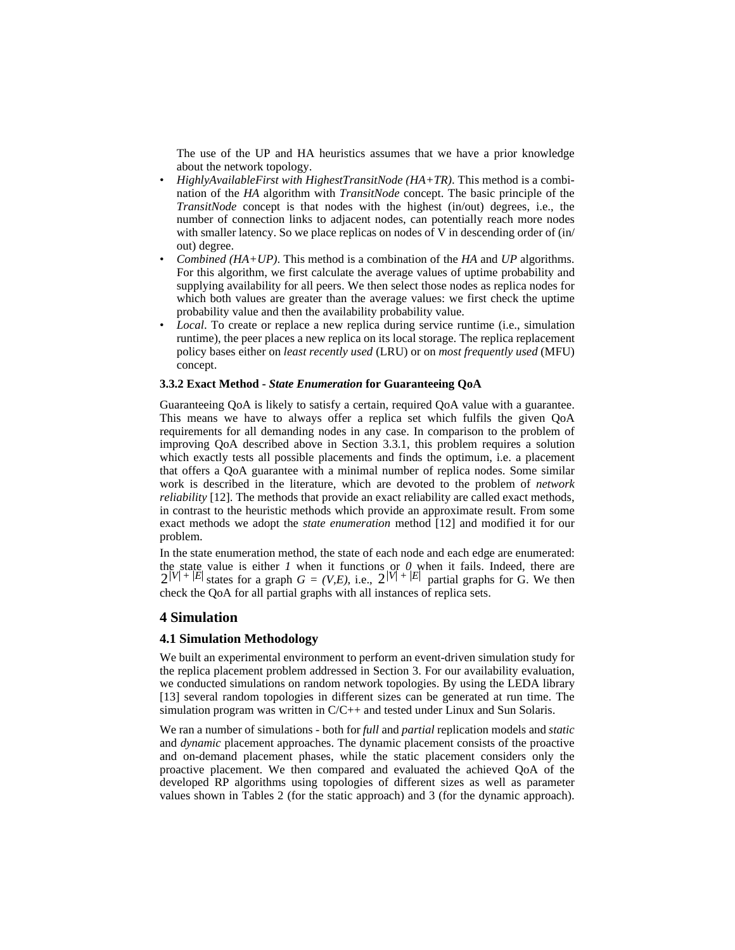The use of the UP and HA heuristics assumes that we have a prior knowledge about the network topology.

- *HighlyAvailableFirst with HighestTransitNode (HA+TR)*. This method is a combination of the *HA* algorithm with *TransitNode* concept. The basic principle of the *TransitNode* concept is that nodes with the highest (in/out) degrees, i.e., the number of connection links to adjacent nodes, can potentially reach more nodes with smaller latency. So we place replicas on nodes of V in descending order of (in/ out) degree.
- *Combined (HA+UP)*. This method is a combination of the *HA* and *UP* algorithms. For this algorithm, we first calculate the average values of uptime probability and supplying availability for all peers. We then select those nodes as replica nodes for which both values are greater than the average values: we first check the uptime probability value and then the availability probability value.
- *Local*. To create or replace a new replica during service runtime (i.e., simulation runtime), the peer places a new replica on its local storage. The replica replacement policy bases either on *least recently used* (LRU) or on *most frequently used* (MFU) concept.

## **3.3.2 Exact Method -** *State Enumeration* **for Guaranteeing QoA**

Guaranteeing QoA is likely to satisfy a certain, required QoA value with a guarantee. This means we have to always offer a replica set which fulfils the given QoA requirements for all demanding nodes in any case. In comparison to the problem of improving QoA described above in Section 3.3.1, this problem requires a solution which exactly tests all possible placements and finds the optimum, i.e. a placement that offers a QoA guarantee with a minimal number of replica nodes. Some similar work is described in the literature, which are devoted to the problem of *network reliability* [12]. The methods that provide an exact reliability are called exact methods, in contrast to the heuristic methods which provide an approximate result. From some exact methods we adopt the *state enumeration* method [12] and modified it for our problem.

In the state enumeration method, the state of each node and each edge are enumerated: the state value is either *1* when it functions or  $\theta$  when it fails. Indeed, there are  $2^{|V|+|E|}$  states for a graph  $G = (V,E)$ , i.e.,  $2^{|V|+|E|}$  partial graphs for G. We then check the QoA for all partial graphs with all instances of replica sets.

## **4 Simulation**

### **4.1 Simulation Methodology**

We built an experimental environment to perform an event-driven simulation study for the replica placement problem addressed in Section 3. For our availability evaluation, we conducted simulations on random network topologies. By using the LEDA library [13] several random topologies in different sizes can be generated at run time. The simulation program was written in  $C/C++$  and tested under Linux and Sun Solaris.

We ran a number of simulations - both for *full* and *partial* replication models and *static* and *dynamic* placement approaches. The dynamic placement consists of the proactive and on-demand placement phases, while the static placement considers only the proactive placement. We then compared and evaluated the achieved QoA of the developed RP algorithms using topologies of different sizes as well as parameter values shown in Tables 2 (for the static approach) and 3 (for the dynamic approach).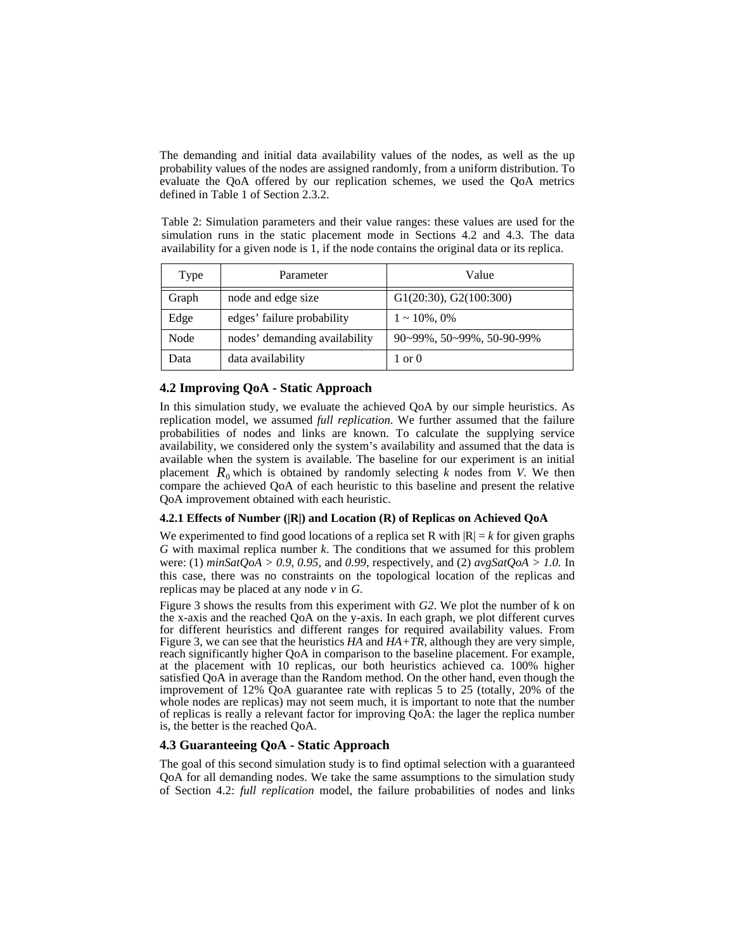The demanding and initial data availability values of the nodes, as well as the up probability values of the nodes are assigned randomly, from a uniform distribution. To evaluate the QoA offered by our replication schemes, we used the QoA metrics defined in Table 1 of Section 2.3.2.

Table 2: Simulation parameters and their value ranges: these values are used for the simulation runs in the static placement mode in Sections 4.2 and 4.3. The data availability for a given node is 1, if the node contains the original data or its replica.

| Type  | Parameter                     | Value                     |
|-------|-------------------------------|---------------------------|
| Graph | node and edge size            | G1(20:30), G2(100:300)    |
| Edge  | edges' failure probability    | $1 \sim 10\%$ , 0%        |
| Node  | nodes' demanding availability | 90~99%, 50~99%, 50-90-99% |
| Data  | data availability             | $1 \text{ or } 0$         |

## **4.2 Improving QoA - Static Approach**

In this simulation study, we evaluate the achieved QoA by our simple heuristics. As replication model, we assumed *full replication*. We further assumed that the failure probabilities of nodes and links are known. To calculate the supplying service availability, we considered only the system's availability and assumed that the data is available when the system is available. The baseline for our experiment is an initial placement  $R_0$  which is obtained by randomly selecting *k* nodes from *V*. We then compare the achieved QoA of each heuristic to this baseline and present the relative QoA improvement obtained with each heuristic.

#### **4.2.1 Effects of Number (|R|) and Location (R) of Replicas on Achieved QoA**

We experimented to find good locations of a replica set R with  $|R| = k$  for given graphs *G* with maximal replica number *k*. The conditions that we assumed for this problem were: (1) *minSatQoA > 0.9, 0.95,* and *0.99,* respectively, and (2) *avgSatQoA > 1.0.* In this case, there was no constraints on the topological location of the replicas and replicas may be placed at any node *v* in *G*.

Figure 3 shows the results from this experiment with *G2*. We plot the number of k on the x-axis and the reached QoA on the y-axis. In each graph, we plot different curves for different heuristics and different ranges for required availability values. From Figure 3, we can see that the heuristics  $HA$  and  $HA + TR$ , although they are very simple, reach significantly higher QoA in comparison to the baseline placement. For example, at the placement with 10 replicas, our both heuristics achieved ca. 100% higher satisfied QoA in average than the Random method. On the other hand, even though the improvement of 12% QoA guarantee rate with replicas 5 to 25 (totally, 20% of the whole nodes are replicas) may not seem much, it is important to note that the number of replicas is really a relevant factor for improving  $QoA$ : the lager the replica number is, the better is the reached QoA.

# **4.3 Guaranteeing QoA - Static Approach**

The goal of this second simulation study is to find optimal selection with a guaranteed QoA for all demanding nodes. We take the same assumptions to the simulation study of Section 4.2: *full replication* model, the failure probabilities of nodes and links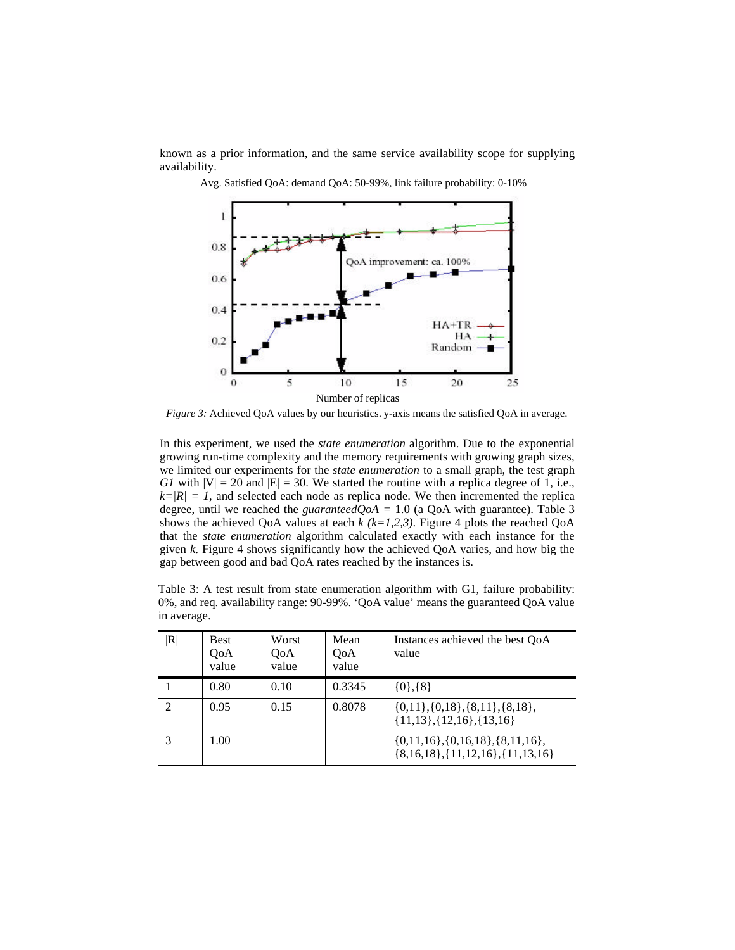known as a prior information, and the same service availability scope for supplying availability.

Avg. Satisfied QoA: demand QoA: 50-99%, link failure probability: 0-10%



*Figure 3:* Achieved QoA values by our heuristics. y-axis means the satisfied QoA in average.

In this experiment, we used the *state enumeration* algorithm. Due to the exponential growing run-time complexity and the memory requirements with growing graph sizes, we limited our experiments for the *state enumeration* to a small graph, the test graph *G1* with  $|V| = 20$  and  $|E| = 30$ . We started the routine with a replica degree of 1, i.e.,  $k=|R|=1$ , and selected each node as replica node. We then incremented the replica degree, until we reached the *guaranteedQoA =* 1.0 (a QoA with guarantee). Table 3 shows the achieved OoA values at each  $k$  ( $k=1,2,3$ ). Figure 4 plots the reached OoA that the *state enumeration* algorithm calculated exactly with each instance for the given *k*. Figure 4 shows significantly how the achieved QoA varies, and how big the gap between good and bad QoA rates reached by the instances is.

Table 3: A test result from state enumeration algorithm with G1, failure probability: 0%, and req. availability range: 90-99%. 'QoA value' means the guaranteed QoA value in average.

| $ \mathbf{R} $ | <b>Best</b><br>OoA<br>value | Worst<br><b>OoA</b><br>value | Mean<br>QoA<br>value | Instances achieved the best OoA<br>value                                         |
|----------------|-----------------------------|------------------------------|----------------------|----------------------------------------------------------------------------------|
|                | 0.80                        | 0.10                         | 0.3345               | $\{0\},\{8\}$                                                                    |
| 2              | 0.95                        | 0.15                         | 0.8078               | $\{0,11\}, \{0,18\}, \{8,11\}, \{8,18\},$<br>${11,13}, {12,16}, {13,16}$         |
|                | 1.00                        |                              |                      | $\{0,11,16\}, \{0,16,18\}, \{8,11,16\},\$<br>${8,16,18}, {11,12,16}, {11,13,16}$ |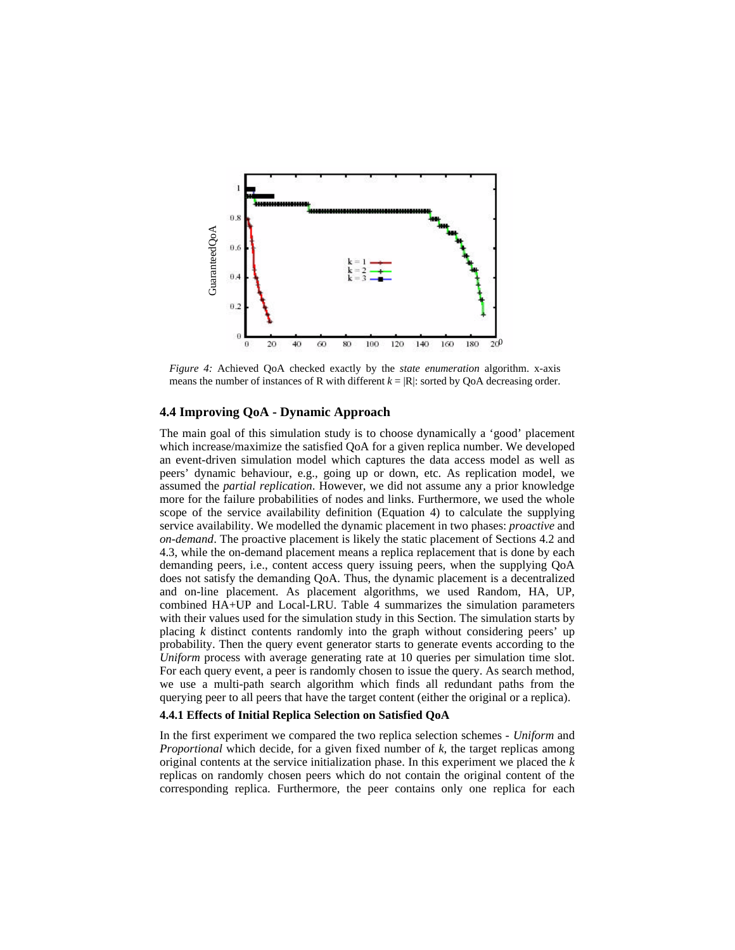

*Figure 4:* Achieved QoA checked exactly by the *state enumeration* algorithm. x-axis means the number of instances of R with different  $k = |R|$ : sorted by QoA decreasing order.

## **4.4 Improving QoA - Dynamic Approach**

The main goal of this simulation study is to choose dynamically a 'good' placement which increase/maximize the satisfied QoA for a given replica number. We developed an event-driven simulation model which captures the data access model as well as peers' dynamic behaviour, e.g., going up or down, etc. As replication model, we assumed the *partial replication*. However, we did not assume any a prior knowledge more for the failure probabilities of nodes and links. Furthermore, we used the whole scope of the service availability definition (Equation 4) to calculate the supplying service availability. We modelled the dynamic placement in two phases: *proactive* and *on-demand*. The proactive placement is likely the static placement of Sections 4.2 and 4.3, while the on-demand placement means a replica replacement that is done by each demanding peers, i.e., content access query issuing peers, when the supplying QoA does not satisfy the demanding QoA. Thus, the dynamic placement is a decentralized and on-line placement. As placement algorithms, we used Random, HA, UP, combined HA+UP and Local-LRU. Table 4 summarizes the simulation parameters with their values used for the simulation study in this Section. The simulation starts by placing *k* distinct contents randomly into the graph without considering peers' up probability. Then the query event generator starts to generate events according to the *Uniform* process with average generating rate at 10 queries per simulation time slot. For each query event, a peer is randomly chosen to issue the query. As search method, we use a multi-path search algorithm which finds all redundant paths from the querying peer to all peers that have the target content (either the original or a replica).

#### **4.4.1 Effects of Initial Replica Selection on Satisfied QoA**

In the first experiment we compared the two replica selection schemes - *Uniform* and *Proportional* which decide, for a given fixed number of *k*, the target replicas among original contents at the service initialization phase. In this experiment we placed the *k* replicas on randomly chosen peers which do not contain the original content of the corresponding replica. Furthermore, the peer contains only one replica for each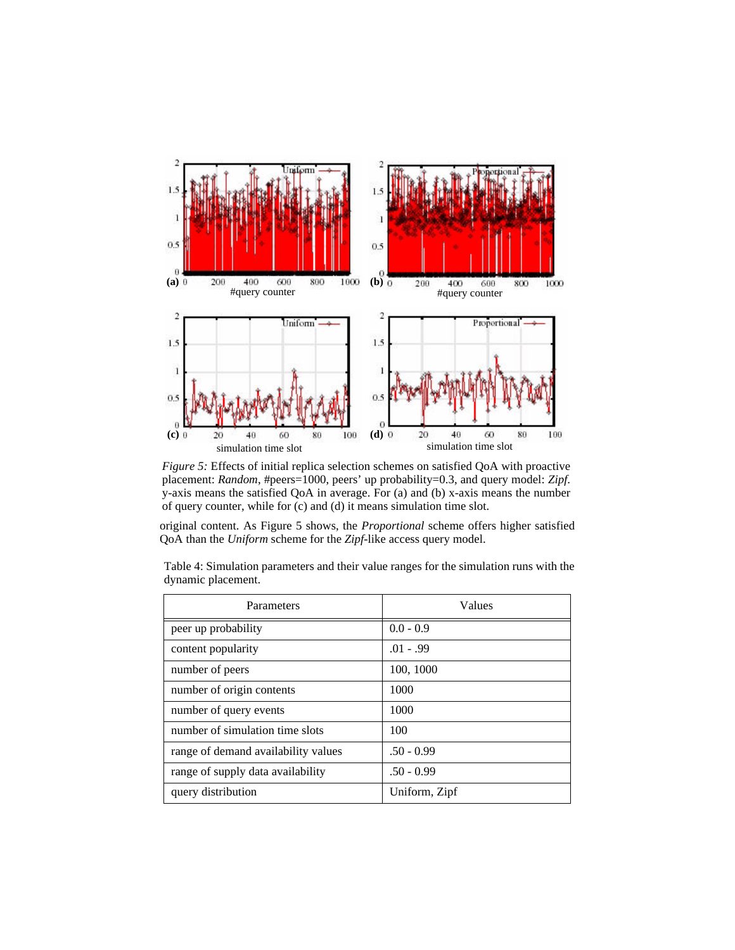

*Figure 5:* Effects of initial replica selection schemes on satisfied QoA with proactive placement: *Random*, #peers=1000, peers' up probability=0.3, and query model: *Zipf*. y-axis means the satisfied QoA in average. For (a) and (b) x-axis means the number of query counter, while for (c) and (d) it means simulation time slot.

original content. As Figure 5 shows, the *Proportional* scheme offers higher satisfied QoA than the *Uniform* scheme for the *Zipf*-like access query model.

| Parameters                          | Values        |
|-------------------------------------|---------------|
| peer up probability                 | $0.0 - 0.9$   |
| content popularity                  | $.01 - .99$   |
| number of peers                     | 100, 1000     |
| number of origin contents           | 1000          |
| number of query events              | 1000          |
| number of simulation time slots     | 100           |
| range of demand availability values | $.50 - 0.99$  |
| range of supply data availability   | $.50 - 0.99$  |
| query distribution                  | Uniform, Zipf |

Table 4: Simulation parameters and their value ranges for the simulation runs with the dynamic placement.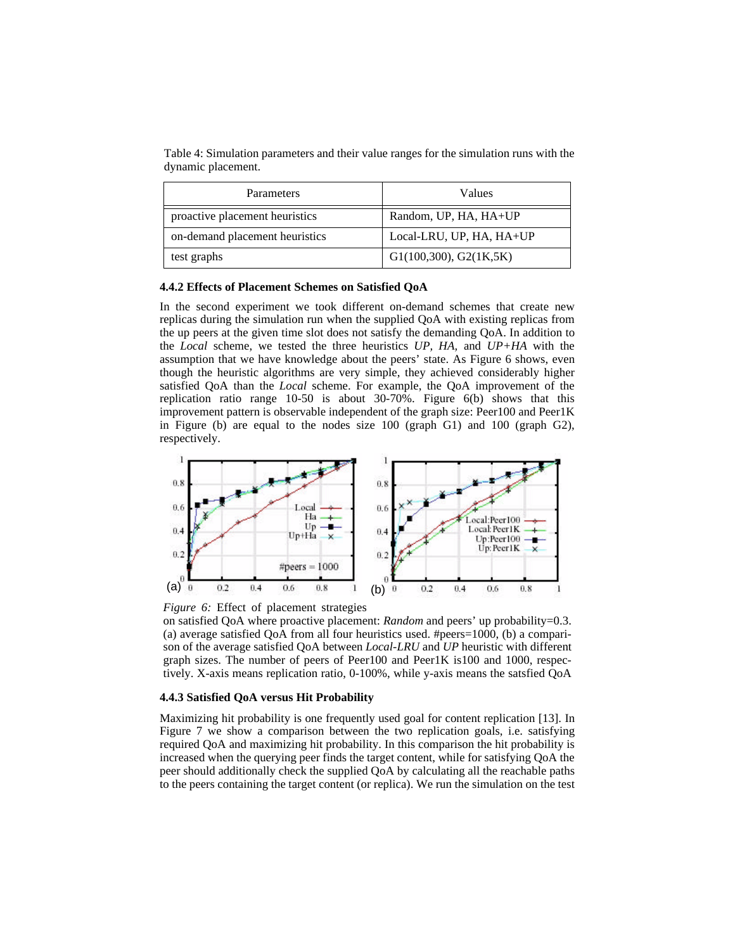Table 4: Simulation parameters and their value ranges for the simulation runs with the dynamic placement.

| <b>Parameters</b>              | Values                      |
|--------------------------------|-----------------------------|
| proactive placement heuristics | Random, UP, HA, HA+UP       |
| on-demand placement heuristics | Local-LRU, UP, HA, HA+UP    |
| test graphs                    | $G1(100,300)$ , $G2(1K,5K)$ |

#### **4.4.2 Effects of Placement Schemes on Satisfied QoA**

In the second experiment we took different on-demand schemes that create new replicas during the simulation run when the supplied QoA with existing replicas from the up peers at the given time slot does not satisfy the demanding QoA. In addition to the *Local* scheme, we tested the three heuristics *UP, HA,* and *UP+HA* with the assumption that we have knowledge about the peers' state. As Figure 6 shows, even though the heuristic algorithms are very simple, they achieved considerably higher satisfied QoA than the *Local* scheme. For example, the QoA improvement of the replication ratio range 10-50 is about 30-70%. Figure 6(b) shows that this improvement pattern is observable independent of the graph size: Peer100 and Peer1K in Figure (b) are equal to the nodes size 100 (graph G1) and 100 (graph G2), respectively.



*Figure 6:* Effect of placement strategies

on satisfied QoA where proactive placement: *Random* and peers' up probability=0.3. (a) average satisfied QoA from all four heuristics used. #peers=1000, (b) a comparison of the average satisfied QoA between *Local-LRU* and *UP* heuristic with different graph sizes. The number of peers of Peer100 and Peer1K is100 and 1000, respectively. X-axis means replication ratio, 0-100%, while y-axis means the satsfied QoA

#### **4.4.3 Satisfied QoA versus Hit Probability**

Maximizing hit probability is one frequently used goal for content replication [13]. In Figure 7 we show a comparison between the two replication goals, i.e. satisfying required QoA and maximizing hit probability. In this comparison the hit probability is increased when the querying peer finds the target content, while for satisfying QoA the peer should additionally check the supplied QoA by calculating all the reachable paths to the peers containing the target content (or replica). We run the simulation on the test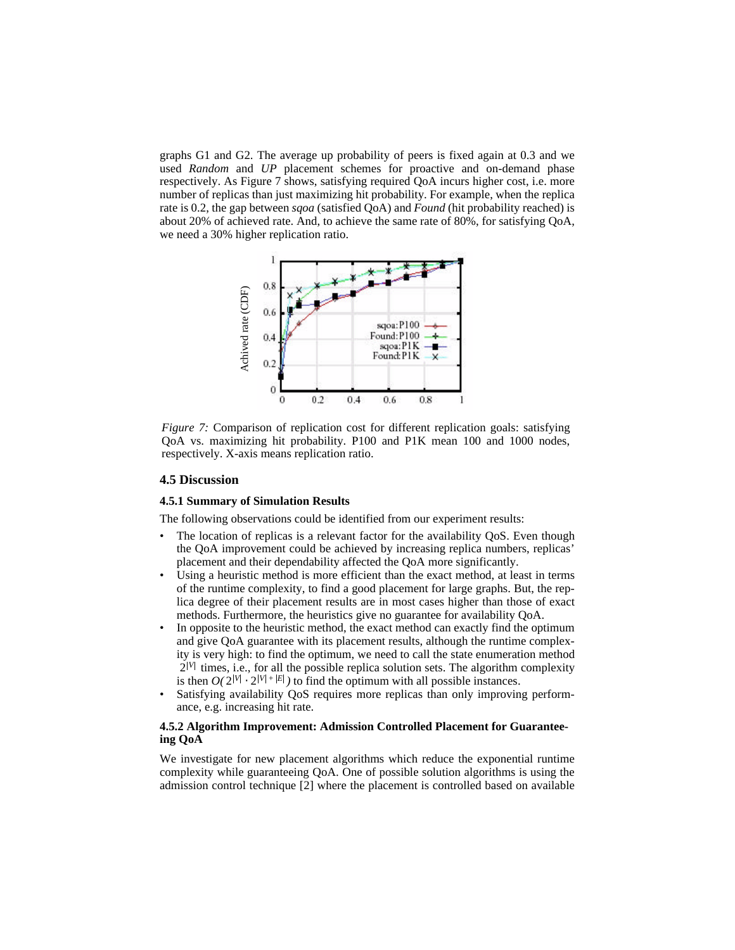graphs G1 and G2. The average up probability of peers is fixed again at 0.3 and we used *Random* and *UP* placement schemes for proactive and on-demand phase respectively. As Figure 7 shows, satisfying required QoA incurs higher cost, i.e. more number of replicas than just maximizing hit probability. For example, when the replica rate is 0.2, the gap between *sqoa* (satisfied QoA) and *Found* (hit probability reached) is about 20% of achieved rate. And, to achieve the same rate of 80%, for satisfying QoA, we need a 30% higher replication ratio.



*Figure 7:* Comparison of replication cost for different replication goals: satisfying QoA vs. maximizing hit probability. P100 and P1K mean 100 and 1000 nodes, respectively. X-axis means replication ratio.

## **4.5 Discussion**

#### **4.5.1 Summary of Simulation Results**

The following observations could be identified from our experiment results:

- The location of replicas is a relevant factor for the availability QoS. Even though the QoA improvement could be achieved by increasing replica numbers, replicas' placement and their dependability affected the QoA more significantly.
- Using a heuristic method is more efficient than the exact method, at least in terms of the runtime complexity, to find a good placement for large graphs. But, the replica degree of their placement results are in most cases higher than those of exact methods. Furthermore, the heuristics give no guarantee for availability QoA.
- In opposite to the heuristic method, the exact method can exactly find the optimum and give QoA guarantee with its placement results, although the runtime complexity is very high: to find the optimum, we need to call the state enumeration method  $2^{|V|}$  times, i.e., for all the possible replica solution sets. The algorithm complexity is then  $O(2^{|V|} \cdot 2^{|V| + |E|})$  to find the optimum with all possible instances.
- Satisfying availability QoS requires more replicas than only improving performance, e.g. increasing hit rate.

## **4.5.2 Algorithm Improvement: Admission Controlled Placement for Guaranteeing QoA**

We investigate for new placement algorithms which reduce the exponential runtime complexity while guaranteeing QoA. One of possible solution algorithms is using the admission control technique [2] where the placement is controlled based on available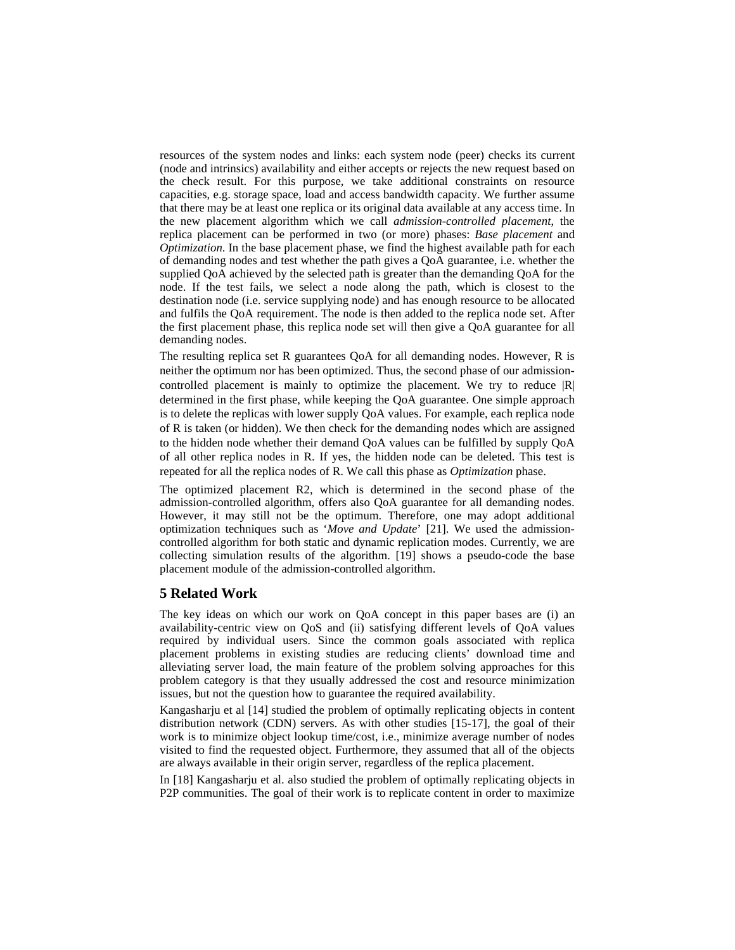resources of the system nodes and links: each system node (peer) checks its current (node and intrinsics) availability and either accepts or rejects the new request based on the check result. For this purpose, we take additional constraints on resource capacities, e.g. storage space, load and access bandwidth capacity. We further assume that there may be at least one replica or its original data available at any access time. In the new placement algorithm which we call *admission-controlled placement*, the replica placement can be performed in two (or more) phases: *Base placement* and *Optimization*. In the base placement phase, we find the highest available path for each of demanding nodes and test whether the path gives a QoA guarantee, i.e. whether the supplied QoA achieved by the selected path is greater than the demanding QoA for the node. If the test fails, we select a node along the path, which is closest to the destination node (i.e. service supplying node) and has enough resource to be allocated and fulfils the QoA requirement. The node is then added to the replica node set. After the first placement phase, this replica node set will then give a QoA guarantee for all demanding nodes.

The resulting replica set R guarantees QoA for all demanding nodes. However, R is neither the optimum nor has been optimized. Thus, the second phase of our admissioncontrolled placement is mainly to optimize the placement. We try to reduce |R| determined in the first phase, while keeping the QoA guarantee. One simple approach is to delete the replicas with lower supply QoA values. For example, each replica node of R is taken (or hidden). We then check for the demanding nodes which are assigned to the hidden node whether their demand QoA values can be fulfilled by supply QoA of all other replica nodes in R. If yes, the hidden node can be deleted. This test is repeated for all the replica nodes of R. We call this phase as *Optimization* phase.

The optimized placement R2, which is determined in the second phase of the admission-controlled algorithm, offers also QoA guarantee for all demanding nodes. However, it may still not be the optimum. Therefore, one may adopt additional optimization techniques such as '*Move and Update*' [21]. We used the admissioncontrolled algorithm for both static and dynamic replication modes. Currently, we are collecting simulation results of the algorithm. [19] shows a pseudo-code the base placement module of the admission-controlled algorithm.

# **5 Related Work**

The key ideas on which our work on QoA concept in this paper bases are (i) an availability-centric view on QoS and (ii) satisfying different levels of QoA values required by individual users. Since the common goals associated with replica placement problems in existing studies are reducing clients' download time and alleviating server load, the main feature of the problem solving approaches for this problem category is that they usually addressed the cost and resource minimization issues, but not the question how to guarantee the required availability.

Kangasharju et al [14] studied the problem of optimally replicating objects in content distribution network (CDN) servers. As with other studies [15-17], the goal of their work is to minimize object lookup time/cost, i.e., minimize average number of nodes visited to find the requested object. Furthermore, they assumed that all of the objects are always available in their origin server, regardless of the replica placement.

In [18] Kangasharju et al. also studied the problem of optimally replicating objects in P2P communities. The goal of their work is to replicate content in order to maximize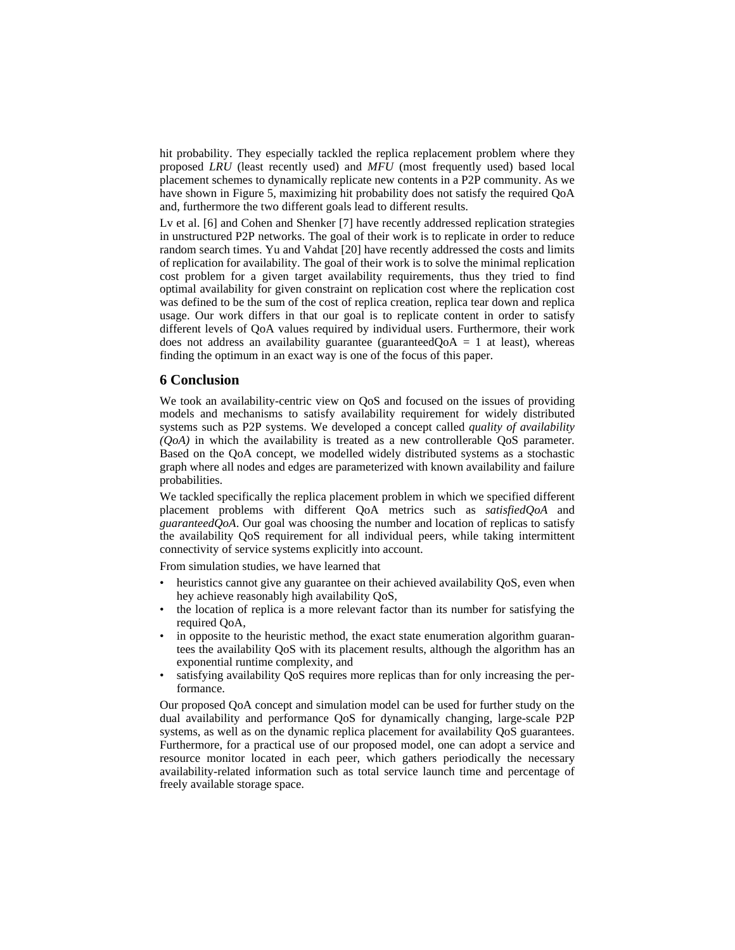hit probability. They especially tackled the replica replacement problem where they proposed *LRU* (least recently used) and *MFU* (most frequently used) based local placement schemes to dynamically replicate new contents in a P2P community. As we have shown in Figure 5, maximizing hit probability does not satisfy the required QoA and, furthermore the two different goals lead to different results.

Lv et al. [6] and Cohen and Shenker [7] have recently addressed replication strategies in unstructured P2P networks. The goal of their work is to replicate in order to reduce random search times. Yu and Vahdat [20] have recently addressed the costs and limits of replication for availability. The goal of their work is to solve the minimal replication cost problem for a given target availability requirements, thus they tried to find optimal availability for given constraint on replication cost where the replication cost was defined to be the sum of the cost of replica creation, replica tear down and replica usage. Our work differs in that our goal is to replicate content in order to satisfy different levels of QoA values required by individual users. Furthermore, their work does not address an availability guarantee (guaranteed $O_0A = 1$  at least), whereas finding the optimum in an exact way is one of the focus of this paper.

## **6 Conclusion**

We took an availability-centric view on QoS and focused on the issues of providing models and mechanisms to satisfy availability requirement for widely distributed systems such as P2P systems. We developed a concept called *quality of availability (QoA)* in which the availability is treated as a new controllerable QoS parameter. Based on the QoA concept, we modelled widely distributed systems as a stochastic graph where all nodes and edges are parameterized with known availability and failure probabilities.

We tackled specifically the replica placement problem in which we specified different placement problems with different QoA metrics such as *satisfiedQoA* and *guaranteedQoA*. Our goal was choosing the number and location of replicas to satisfy the availability QoS requirement for all individual peers, while taking intermittent connectivity of service systems explicitly into account.

From simulation studies, we have learned that

- heuristics cannot give any guarantee on their achieved availability QoS, even when hey achieve reasonably high availability QoS,
- the location of replica is a more relevant factor than its number for satisfying the required QoA,
- in opposite to the heuristic method, the exact state enumeration algorithm guarantees the availability QoS with its placement results, although the algorithm has an exponential runtime complexity, and
- satisfying availability QoS requires more replicas than for only increasing the performance.

Our proposed QoA concept and simulation model can be used for further study on the dual availability and performance QoS for dynamically changing, large-scale P2P systems, as well as on the dynamic replica placement for availability QoS guarantees. Furthermore, for a practical use of our proposed model, one can adopt a service and resource monitor located in each peer, which gathers periodically the necessary availability-related information such as total service launch time and percentage of freely available storage space.